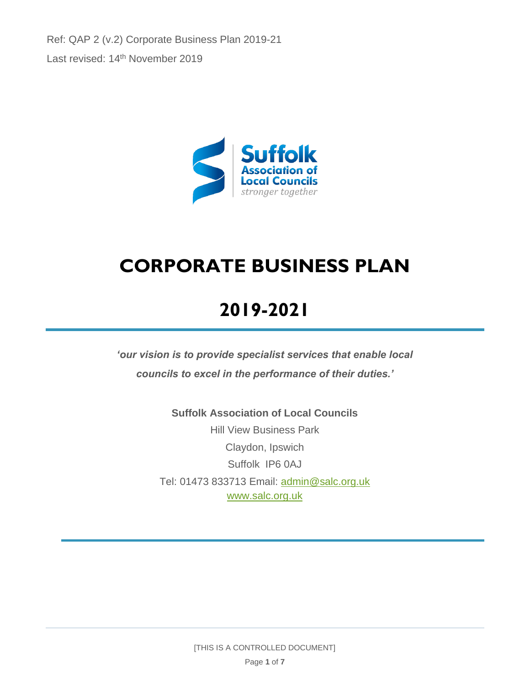Ref: QAP 2 (v.2) Corporate Business Plan 2019-21 Last revised: 14<sup>th</sup> November 2019



# **CORPORATE BUSINESS PLAN**

# **2019-2021**

*'our vision is to provide specialist services that enable local councils to excel in the performance of their duties.'*

> **Suffolk Association of Local Councils** Hill View Business Park Claydon, Ipswich Suffolk IP6 0AJ Tel: 01473 833713 Email: [admin@salc.org.uk](mailto:admin@salc.org.uk) [www.salc.org.uk](http://www.salc.org.uk/)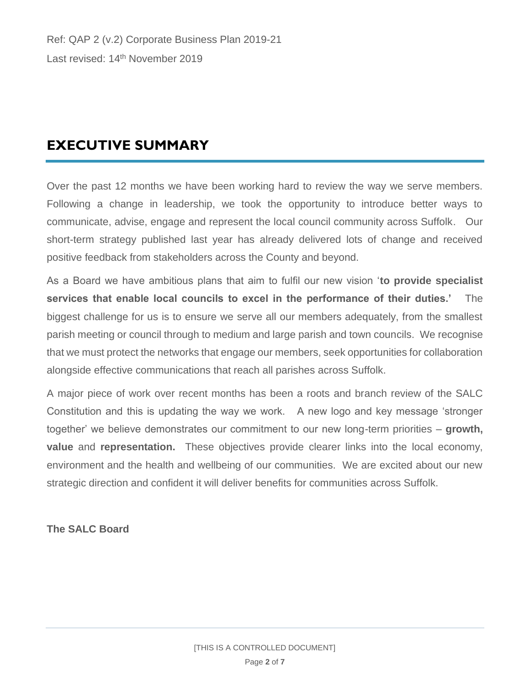## **EXECUTIVE SUMMARY**

Over the past 12 months we have been working hard to review the way we serve members. Following a change in leadership, we took the opportunity to introduce better ways to communicate, advise, engage and represent the local council community across Suffolk. Our short-term strategy published last year has already delivered lots of change and received positive feedback from stakeholders across the County and beyond.

As a Board we have ambitious plans that aim to fulfil our new vision '**to provide specialist services that enable local councils to excel in the performance of their duties.'** The biggest challenge for us is to ensure we serve all our members adequately, from the smallest parish meeting or council through to medium and large parish and town councils. We recognise that we must protect the networks that engage our members, seek opportunities for collaboration alongside effective communications that reach all parishes across Suffolk.

A major piece of work over recent months has been a roots and branch review of the SALC Constitution and this is updating the way we work. A new logo and key message 'stronger together' we believe demonstrates our commitment to our new long-term priorities – **growth, value** and **representation.** These objectives provide clearer links into the local economy, environment and the health and wellbeing of our communities. We are excited about our new strategic direction and confident it will deliver benefits for communities across Suffolk.

**The SALC Board**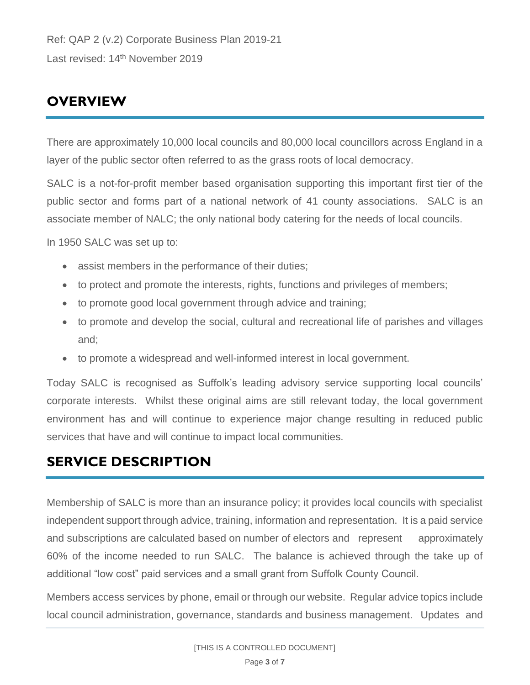## **OVERVIEW**

There are approximately 10,000 local councils and 80,000 local councillors across England in a layer of the public sector often referred to as the grass roots of local democracy.

SALC is a not-for-profit member based organisation supporting this important first tier of the public sector and forms part of a national network of 41 county associations. SALC is an associate member of NALC; the only national body catering for the needs of local councils.

In 1950 SALC was set up to:

- assist members in the performance of their duties;
- to protect and promote the interests, rights, functions and privileges of members;
- to promote good local government through advice and training;
- to promote and develop the social, cultural and recreational life of parishes and villages and;
- to promote a widespread and well-informed interest in local government.

Today SALC is recognised as Suffolk's leading advisory service supporting local councils' corporate interests. Whilst these original aims are still relevant today, the local government environment has and will continue to experience major change resulting in reduced public services that have and will continue to impact local communities.

## **SERVICE DESCRIPTION**

Membership of SALC is more than an insurance policy; it provides local councils with specialist independent support through advice, training, information and representation. It is a paid service and subscriptions are calculated based on number of electors and represent approximately 60% of the income needed to run SALC. The balance is achieved through the take up of additional "low cost" paid services and a small grant from Suffolk County Council.

Members access services by phone, email or through our website. Regular advice topics include local council administration, governance, standards and business management. Updates and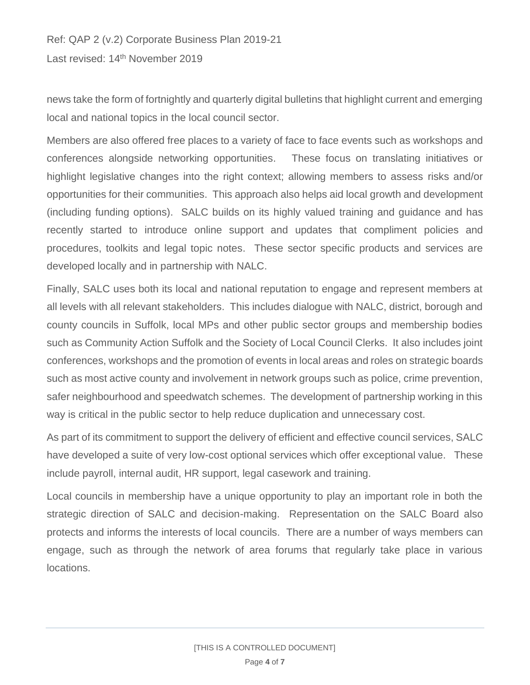Ref: QAP 2 (v.2) Corporate Business Plan 2019-21 Last revised: 14<sup>th</sup> November 2019

news take the form of fortnightly and quarterly digital bulletins that highlight current and emerging local and national topics in the local council sector.

Members are also offered free places to a variety of face to face events such as workshops and conferences alongside networking opportunities. These focus on translating initiatives or highlight legislative changes into the right context; allowing members to assess risks and/or opportunities for their communities. This approach also helps aid local growth and development (including funding options). SALC builds on its highly valued training and guidance and has recently started to introduce online support and updates that compliment policies and procedures, toolkits and legal topic notes. These sector specific products and services are developed locally and in partnership with NALC.

Finally, SALC uses both its local and national reputation to engage and represent members at all levels with all relevant stakeholders. This includes dialogue with NALC, district, borough and county councils in Suffolk, local MPs and other public sector groups and membership bodies such as Community Action Suffolk and the Society of Local Council Clerks. It also includes joint conferences, workshops and the promotion of events in local areas and roles on strategic boards such as most active county and involvement in network groups such as police, crime prevention, safer neighbourhood and speedwatch schemes. The development of partnership working in this way is critical in the public sector to help reduce duplication and unnecessary cost.

As part of its commitment to support the delivery of efficient and effective council services, SALC have developed a suite of very low-cost optional services which offer exceptional value. These include payroll, internal audit, HR support, legal casework and training.

Local councils in membership have a unique opportunity to play an important role in both the strategic direction of SALC and decision-making. Representation on the SALC Board also protects and informs the interests of local councils. There are a number of ways members can engage, such as through the network of area forums that regularly take place in various locations.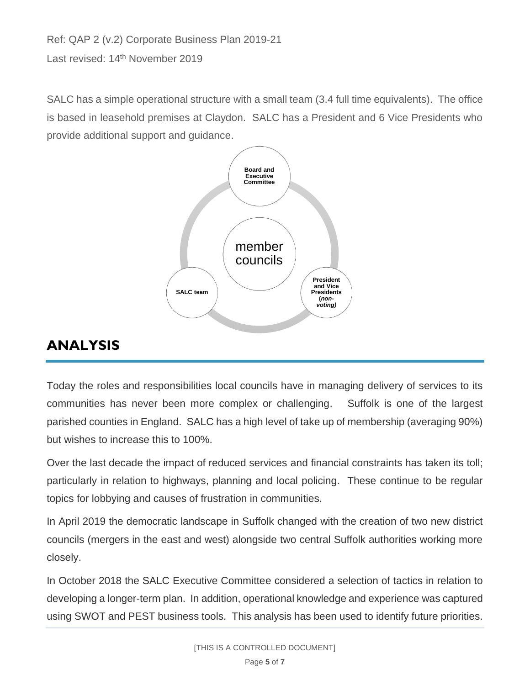Ref: QAP 2 (v.2) Corporate Business Plan 2019-21 Last revised: 14<sup>th</sup> November 2019

SALC has a simple operational structure with a small team (3.4 full time equivalents). The office is based in leasehold premises at Claydon. SALC has a President and 6 Vice Presidents who provide additional support and guidance.



# **ANALYSIS**

Today the roles and responsibilities local councils have in managing delivery of services to its communities has never been more complex or challenging. Suffolk is one of the largest parished counties in England. SALC has a high level of take up of membership (averaging 90%) but wishes to increase this to 100%.

Over the last decade the impact of reduced services and financial constraints has taken its toll; particularly in relation to highways, planning and local policing. These continue to be regular topics for lobbying and causes of frustration in communities.

In April 2019 the democratic landscape in Suffolk changed with the creation of two new district councils (mergers in the east and west) alongside two central Suffolk authorities working more closely.

In October 2018 the SALC Executive Committee considered a selection of tactics in relation to developing a longer-term plan. In addition, operational knowledge and experience was captured using SWOT and PEST business tools. This analysis has been used to identify future priorities.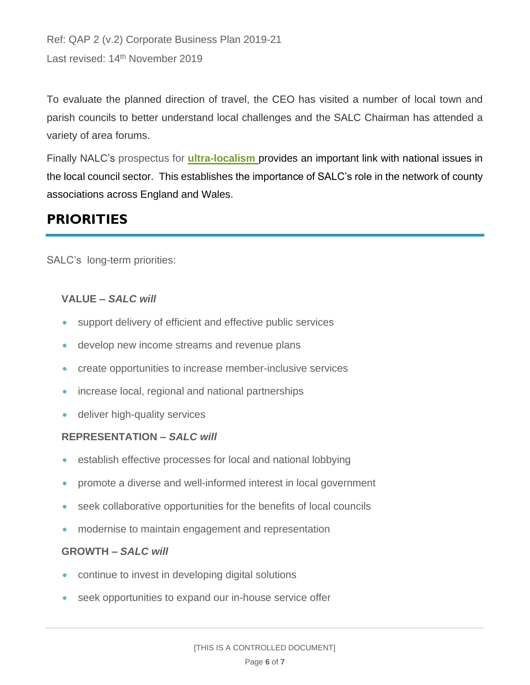```
Ref: QAP 2 (v.2) Corporate Business Plan 2019-21 
Last revised: 14<sup>th</sup> November 2019
```
To evaluate the planned direction of travel, the CEO has visited a number of local town and parish councils to better understand local challenges and the SALC Chairman has attended a variety of area forums.

Finally NALC's prospectus for **[ultra-localism](https://www.nalc.gov.uk/our-work/the-manifesto-campaign)** provides an important link with national issues in the local council sector. This establishes the importance of SALC's role in the network of county associations across England and Wales.

## **PRIORITIES**

SALC's long-term priorities:

## **VALUE** *– SALC will*

- support delivery of efficient and effective public services
- develop new income streams and revenue plans
- create opportunities to increase member-inclusive services
- increase local, regional and national partnerships
- deliver high-quality services

## **REPRESENTATION** *– SALC will*

- establish effective processes for local and national lobbying
- promote a diverse and well-informed interest in local government
- seek collaborative opportunities for the benefits of local councils
- modernise to maintain engagement and representation

## **GROWTH –** *SALC will*

- continue to invest in developing digital solutions
- seek opportunities to expand our in-house service offer